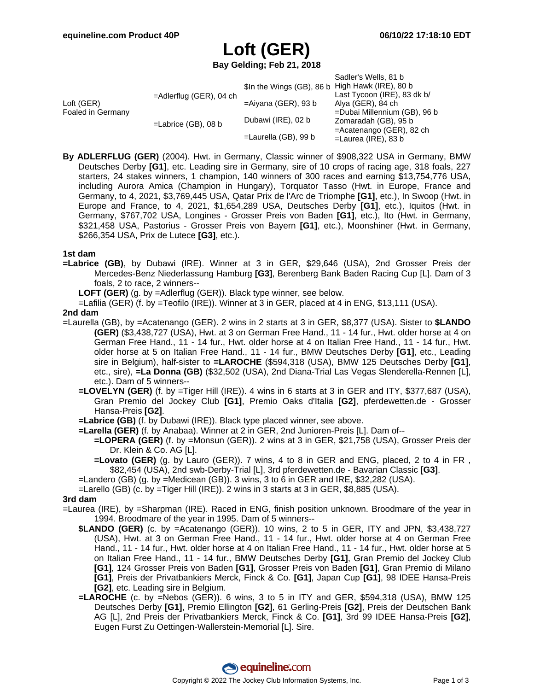# **Loft (GER)**

**Bay Gelding; Feb 21, 2018**

|                                 |                            |                           | Sadler's Wells, 81 b         |
|---------------------------------|----------------------------|---------------------------|------------------------------|
| Loft (GER)<br>Foaled in Germany | $=$ Adlerflug (GER), 04 ch | \$In the Wings (GB), 86 b | High Hawk (IRE), 80 b        |
|                                 |                            |                           | Last Tycoon (IRE), 83 dk b/  |
|                                 |                            | $=$ Aiyana (GER), 93 b    | Alya (GER), 84 ch            |
|                                 | $=$ Labrice (GB), 08 b     |                           | =Dubai Millennium (GB), 96 b |
|                                 |                            | Dubawi (IRE), 02 b        | Zomaradah (GB), 95 b         |
|                                 |                            |                           | $=$ Acatenango (GER), 82 ch  |
|                                 |                            | $=$ Laurella (GB), 99 b   | $=$ Laurea (IRE), 83 b       |

**By ADLERFLUG (GER)** (2004). Hwt. in Germany, Classic winner of \$908,322 USA in Germany, BMW Deutsches Derby **[G1]**, etc. Leading sire in Germany, sire of 10 crops of racing age, 318 foals, 227 starters, 24 stakes winners, 1 champion, 140 winners of 300 races and earning \$13,754,776 USA, including Aurora Amica (Champion in Hungary), Torquator Tasso (Hwt. in Europe, France and Germany, to 4, 2021, \$3,769,445 USA, Qatar Prix de l'Arc de Triomphe **[G1]**, etc.), In Swoop (Hwt. in Europe and France, to 4, 2021, \$1,654,289 USA, Deutsches Derby **[G1]**, etc.), Iquitos (Hwt. in Germany, \$767,702 USA, Longines - Grosser Preis von Baden **[G1]**, etc.), Ito (Hwt. in Germany, \$321,458 USA, Pastorius - Grosser Preis von Bayern **[G1]**, etc.), Moonshiner (Hwt. in Germany, \$266,354 USA, Prix de Lutece **[G3]**, etc.).

#### **1st dam**

**=Labrice (GB)**, by Dubawi (IRE). Winner at 3 in GER, \$29,646 (USA), 2nd Grosser Preis der Mercedes-Benz Niederlassung Hamburg **[G3]**, Berenberg Bank Baden Racing Cup [L]. Dam of 3 foals, 2 to race, 2 winners--

**LOFT (GER)** (g. by =Adlerflug (GER)). Black type winner, see below.

=Lafilia (GER) (f. by =Teofilo (IRE)). Winner at 3 in GER, placed at 4 in ENG, \$13,111 (USA).

#### **2nd dam**

- =Laurella (GB), by =Acatenango (GER). 2 wins in 2 starts at 3 in GER, \$8,377 (USA). Sister to **\$LANDO (GER)** (\$3,438,727 (USA), Hwt. at 3 on German Free Hand., 11 - 14 fur., Hwt. older horse at 4 on German Free Hand., 11 - 14 fur., Hwt. older horse at 4 on Italian Free Hand., 11 - 14 fur., Hwt. older horse at 5 on Italian Free Hand., 11 - 14 fur., BMW Deutsches Derby **[G1]**, etc., Leading sire in Belgium), half-sister to **=LAROCHE** (\$594,318 (USA), BMW 125 Deutsches Derby **[G1]**, etc., sire), **=La Donna (GB)** (\$32,502 (USA), 2nd Diana-Trial Las Vegas Slenderella-Rennen [L], etc.). Dam of 5 winners--
	- **=LOVELYN (GER)** (f. by =Tiger Hill (IRE)). 4 wins in 6 starts at 3 in GER and ITY, \$377,687 (USA), Gran Premio del Jockey Club **[G1]**, Premio Oaks d'Italia **[G2]**, pferdewetten.de - Grosser Hansa-Preis **[G2]**.
	- **=Labrice (GB)** (f. by Dubawi (IRE)). Black type placed winner, see above.
	- **=Larella (GER)** (f. by Anabaa). Winner at 2 in GER, 2nd Junioren-Preis [L]. Dam of--
		- **=LOPERA (GER)** (f. by =Monsun (GER)). 2 wins at 3 in GER, \$21,758 (USA), Grosser Preis der Dr. Klein & Co. AG [L].
		- **=Lovato (GER)** (g. by Lauro (GER)). 7 wins, 4 to 8 in GER and ENG, placed, 2 to 4 in FR , \$82,454 (USA), 2nd swb-Derby-Trial [L], 3rd pferdewetten.de - Bavarian Classic **[G3]**.
	- =Landero (GB) (g. by =Medicean (GB)). 3 wins, 3 to 6 in GER and IRE, \$32,282 (USA).
	- =Larello (GB) (c. by =Tiger Hill (IRE)). 2 wins in 3 starts at 3 in GER, \$8,885 (USA).

#### **3rd dam**

- =Laurea (IRE), by =Sharpman (IRE). Raced in ENG, finish position unknown. Broodmare of the year in 1994. Broodmare of the year in 1995. Dam of 5 winners--
	- **\$LANDO (GER)** (c. by =Acatenango (GER)). 10 wins, 2 to 5 in GER, ITY and JPN, \$3,438,727 (USA), Hwt. at 3 on German Free Hand., 11 - 14 fur., Hwt. older horse at 4 on German Free Hand., 11 - 14 fur., Hwt. older horse at 4 on Italian Free Hand., 11 - 14 fur., Hwt. older horse at 5 on Italian Free Hand., 11 - 14 fur., BMW Deutsches Derby **[G1]**, Gran Premio del Jockey Club **[G1]**, 124 Grosser Preis von Baden **[G1]**, Grosser Preis von Baden **[G1]**, Gran Premio di Milano **[G1]**, Preis der Privatbankiers Merck, Finck & Co. **[G1]**, Japan Cup **[G1]**, 98 IDEE Hansa-Preis **[G2]**, etc. Leading sire in Belgium.
	- **=LAROCHE** (c. by =Nebos (GER)). 6 wins, 3 to 5 in ITY and GER, \$594,318 (USA), BMW 125 Deutsches Derby **[G1]**, Premio Ellington **[G2]**, 61 Gerling-Preis **[G2]**, Preis der Deutschen Bank AG [L], 2nd Preis der Privatbankiers Merck, Finck & Co. **[G1]**, 3rd 99 IDEE Hansa-Preis **[G2]**, Eugen Furst Zu Oettingen-Wallerstein-Memorial [L]. Sire.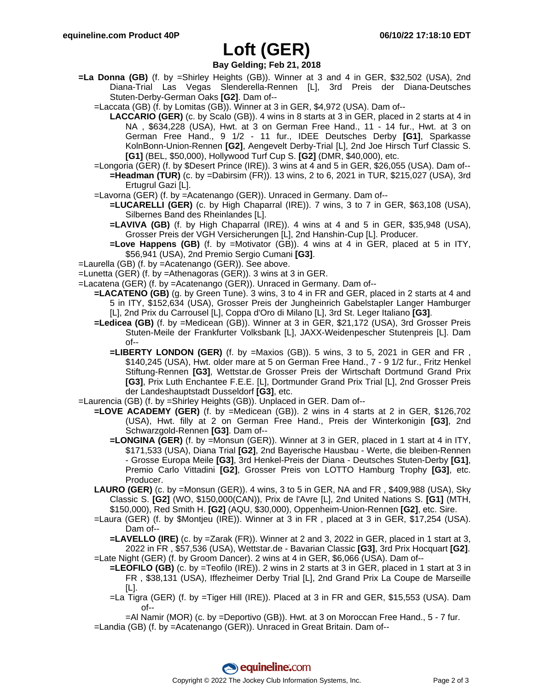### **Loft (GER)**

### **Bay Gelding; Feb 21, 2018**

- **=La Donna (GB)** (f. by =Shirley Heights (GB)). Winner at 3 and 4 in GER, \$32,502 (USA), 2nd Diana-Trial Las Vegas Slenderella-Rennen [L], 3rd Preis der Diana-Deutsches Stuten-Derby-German Oaks **[G2]**. Dam of--
	- =Laccata (GB) (f. by Lomitas (GB)). Winner at 3 in GER, \$4,972 (USA). Dam of--
		- **LACCARIO (GER)** (c. by Scalo (GB)). 4 wins in 8 starts at 3 in GER, placed in 2 starts at 4 in NA , \$634,228 (USA), Hwt. at 3 on German Free Hand., 11 - 14 fur., Hwt. at 3 on German Free Hand., 9 1/2 - 11 fur., IDEE Deutsches Derby **[G1]**, Sparkasse KolnBonn-Union-Rennen **[G2]**, Aengevelt Derby-Trial [L], 2nd Joe Hirsch Turf Classic S. **[G1]** (BEL, \$50,000), Hollywood Turf Cup S. **[G2]** (DMR, \$40,000), etc.
	- =Longoria (GER) (f. by \$Desert Prince (IRE)). 3 wins at 4 and 5 in GER, \$26,055 (USA). Dam of-- **=Headman (TUR)** (c. by =Dabirsim (FR)). 13 wins, 2 to 6, 2021 in TUR, \$215,027 (USA), 3rd Ertugrul Gazi [L].
	- =Lavorna (GER) (f. by =Acatenango (GER)). Unraced in Germany. Dam of--
		- **=LUCARELLI (GER)** (c. by High Chaparral (IRE)). 7 wins, 3 to 7 in GER, \$63,108 (USA), Silbernes Band des Rheinlandes [L].
		- **=LAVIVA (GB)** (f. by High Chaparral (IRE)). 4 wins at 4 and 5 in GER, \$35,948 (USA), Grosser Preis der VGH Versicherungen [L], 2nd Hanshin-Cup [L]. Producer.
		- **=Love Happens (GB)** (f. by =Motivator (GB)). 4 wins at 4 in GER, placed at 5 in ITY, \$56,941 (USA), 2nd Premio Sergio Cumani **[G3]**.
- =Laurella (GB) (f. by =Acatenango (GER)). See above.
- =Lunetta (GER) (f. by =Athenagoras (GER)). 3 wins at 3 in GER.
- =Lacatena (GER) (f. by =Acatenango (GER)). Unraced in Germany. Dam of--
	- **=LACATENO (GB)** (g. by Green Tune). 3 wins, 3 to 4 in FR and GER, placed in 2 starts at 4 and 5 in ITY, \$152,634 (USA), Grosser Preis der Jungheinrich Gabelstapler Langer Hamburger [L], 2nd Prix du Carrousel [L], Coppa d'Oro di Milano [L], 3rd St. Leger Italiano **[G3]**.
		- **=Ledicea (GB)** (f. by =Medicean (GB)). Winner at 3 in GER, \$21,172 (USA), 3rd Grosser Preis Stuten-Meile der Frankfurter Volksbank [L], JAXX-Weidenpescher Stutenpreis [L]. Dam of--
			- **=LIBERTY LONDON (GER)** (f. by =Maxios (GB)). 5 wins, 3 to 5, 2021 in GER and FR , \$140,245 (USA), Hwt. older mare at 5 on German Free Hand., 7 - 9 1/2 fur., Fritz Henkel Stiftung-Rennen **[G3]**, Wettstar.de Grosser Preis der Wirtschaft Dortmund Grand Prix **[G3]**, Prix Luth Enchantee F.E.E. [L], Dortmunder Grand Prix Trial [L], 2nd Grosser Preis der Landeshauptstadt Dusseldorf **[G3]**, etc.
- =Laurencia (GB) (f. by =Shirley Heights (GB)). Unplaced in GER. Dam of--
	- **=LOVE ACADEMY (GER)** (f. by =Medicean (GB)). 2 wins in 4 starts at 2 in GER, \$126,702 (USA), Hwt. filly at 2 on German Free Hand., Preis der Winterkonigin **[G3]**, 2nd Schwarzgold-Rennen **[G3]**. Dam of--
		- **=LONGINA (GER)** (f. by =Monsun (GER)). Winner at 3 in GER, placed in 1 start at 4 in ITY, \$171,533 (USA), Diana Trial **[G2]**, 2nd Bayerische Hausbau - Werte, die bleiben-Rennen - Grosse Europa Meile **[G3]**, 3rd Henkel-Preis der Diana - Deutsches Stuten-Derby **[G1]**, Premio Carlo Vittadini **[G2]**, Grosser Preis von LOTTO Hamburg Trophy **[G3]**, etc. Producer.
	- **LAURO (GER)** (c. by =Monsun (GER)). 4 wins, 3 to 5 in GER, NA and FR , \$409,988 (USA), Sky Classic S. **[G2]** (WO, \$150,000(CAN)), Prix de l'Avre [L], 2nd United Nations S. **[G1]** (MTH, \$150,000), Red Smith H. **[G2]** (AQU, \$30,000), Oppenheim-Union-Rennen **[G2]**, etc. Sire.
	- =Laura (GER) (f. by \$Montjeu (IRE)). Winner at 3 in FR , placed at 3 in GER, \$17,254 (USA). Dam of--
	- **=LAVELLO (IRE)** (c. by =Zarak (FR)). Winner at 2 and 3, 2022 in GER, placed in 1 start at 3, 2022 in FR , \$57,536 (USA), Wettstar.de - Bavarian Classic **[G3]**, 3rd Prix Hocquart **[G2]**. =Late Night (GER) (f. by Groom Dancer). 2 wins at 4 in GER, \$6,066 (USA). Dam of--
		- **=LEOFILO (GB)** (c. by =Teofilo (IRE)). 2 wins in 2 starts at 3 in GER, placed in 1 start at 3 in FR , \$38,131 (USA), Iffezheimer Derby Trial [L], 2nd Grand Prix La Coupe de Marseille [L].
			- =La Tigra (GER) (f. by =Tiger Hill (IRE)). Placed at 3 in FR and GER, \$15,553 (USA). Dam of--

=Al Namir (MOR) (c. by =Deportivo (GB)). Hwt. at 3 on Moroccan Free Hand., 5 - 7 fur. =Landia (GB) (f. by =Acatenango (GER)). Unraced in Great Britain. Dam of--